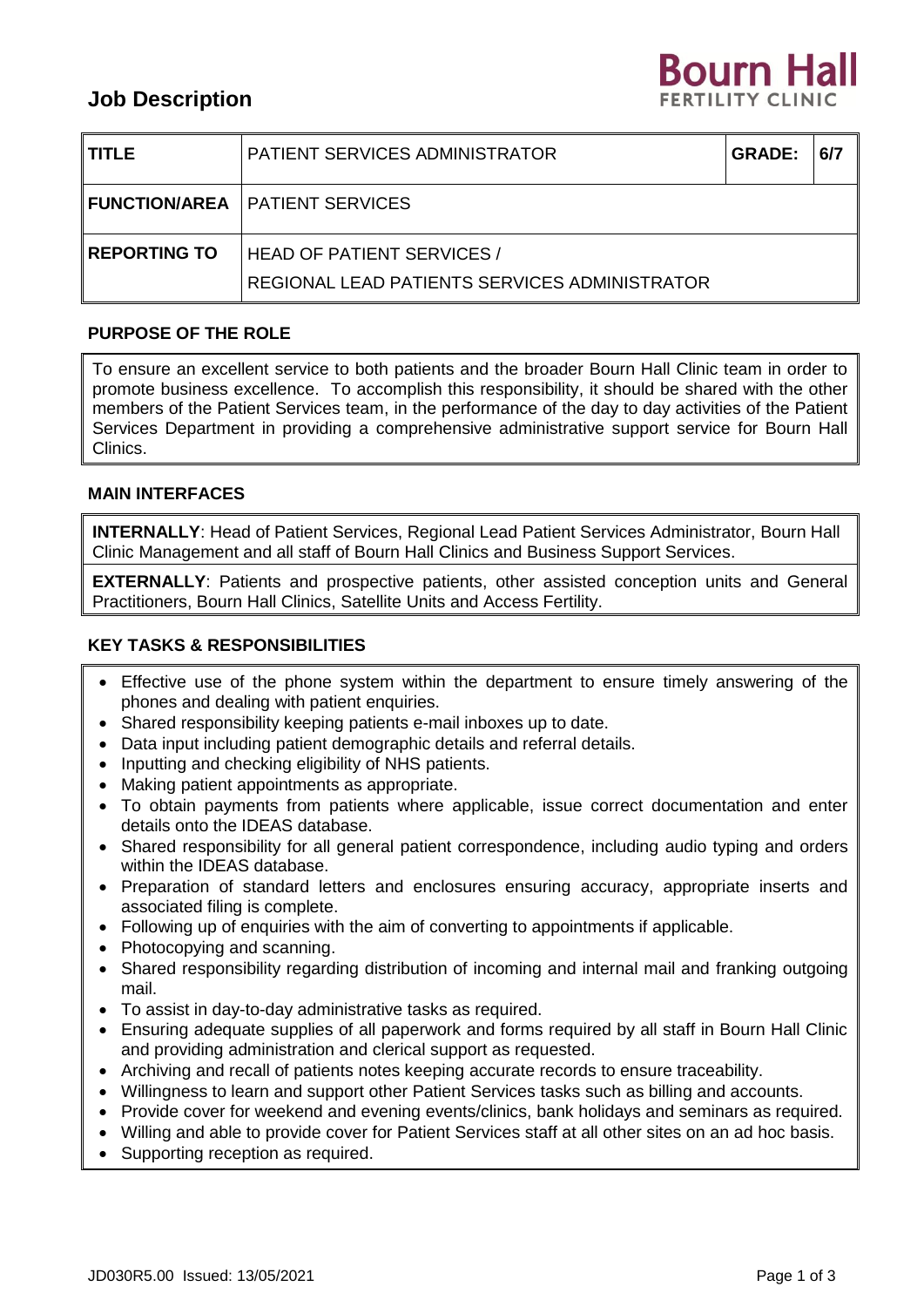# **Job Description**



| <b>ITITLE</b>  | <b>PATIENT SERVICES ADMINISTRATOR</b>                                                | <b>GRADE:</b> | 6/7 |
|----------------|--------------------------------------------------------------------------------------|---------------|-----|
|                | <b>I FUNCTION/AREA</b> PATIENT SERVICES                                              |               |     |
| I REPORTING TO | <b>HEAD OF PATIENT SERVICES /</b><br>  REGIONAL LEAD PATIENTS SERVICES ADMINISTRATOR |               |     |

# **PURPOSE OF THE ROLE**

To ensure an excellent service to both patients and the broader Bourn Hall Clinic team in order to promote business excellence. To accomplish this responsibility, it should be shared with the other members of the Patient Services team, in the performance of the day to day activities of the Patient Services Department in providing a comprehensive administrative support service for Bourn Hall Clinics.

# **MAIN INTERFACES**

**INTERNALLY**: Head of Patient Services, Regional Lead Patient Services Administrator, Bourn Hall Clinic Management and all staff of Bourn Hall Clinics and Business Support Services.

**EXTERNALLY**: Patients and prospective patients, other assisted conception units and General Practitioners, Bourn Hall Clinics, Satellite Units and Access Fertility.

# **KEY TASKS & RESPONSIBILITIES**

- Effective use of the phone system within the department to ensure timely answering of the phones and dealing with patient enquiries.
- Shared responsibility keeping patients e-mail inboxes up to date.
- Data input including patient demographic details and referral details.
- Inputting and checking eligibility of NHS patients.
- Making patient appointments as appropriate.
- To obtain payments from patients where applicable, issue correct documentation and enter details onto the IDEAS database.
- Shared responsibility for all general patient correspondence, including audio typing and orders within the IDEAS database.
- Preparation of standard letters and enclosures ensuring accuracy, appropriate inserts and associated filing is complete.
- Following up of enquiries with the aim of converting to appointments if applicable.
- Photocopying and scanning.
- Shared responsibility regarding distribution of incoming and internal mail and franking outgoing mail.
- To assist in day-to-day administrative tasks as required.
- Ensuring adequate supplies of all paperwork and forms required by all staff in Bourn Hall Clinic and providing administration and clerical support as requested.
- Archiving and recall of patients notes keeping accurate records to ensure traceability.
- Willingness to learn and support other Patient Services tasks such as billing and accounts.
- Provide cover for weekend and evening events/clinics, bank holidays and seminars as required.
- Willing and able to provide cover for Patient Services staff at all other sites on an ad hoc basis.
- Supporting reception as required.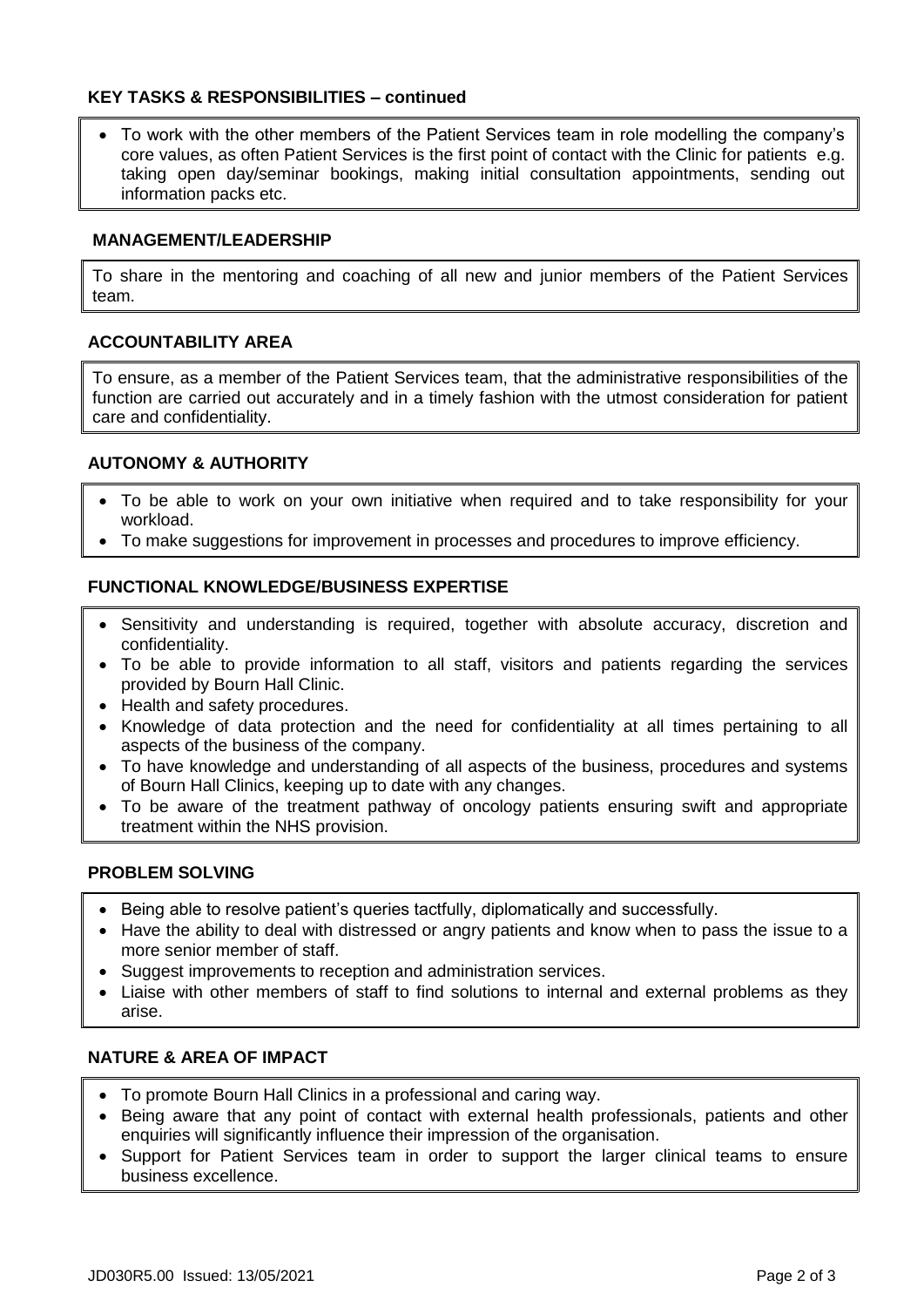# **KEY TASKS & RESPONSIBILITIES – continued**

 To work with the other members of the Patient Services team in role modelling the company's core values, as often Patient Services is the first point of contact with the Clinic for patients e.g. taking open day/seminar bookings, making initial consultation appointments, sending out information packs etc.

#### **MANAGEMENT/LEADERSHIP**

To share in the mentoring and coaching of all new and junior members of the Patient Services team.

## **ACCOUNTABILITY AREA**

To ensure, as a member of the Patient Services team, that the administrative responsibilities of the function are carried out accurately and in a timely fashion with the utmost consideration for patient care and confidentiality.

## **AUTONOMY & AUTHORITY**

- To be able to work on your own initiative when required and to take responsibility for your workload.
- To make suggestions for improvement in processes and procedures to improve efficiency.

## **FUNCTIONAL KNOWLEDGE/BUSINESS EXPERTISE**

- Sensitivity and understanding is required, together with absolute accuracy, discretion and confidentiality.
- To be able to provide information to all staff, visitors and patients regarding the services provided by Bourn Hall Clinic.
- Health and safety procedures.
- Knowledge of data protection and the need for confidentiality at all times pertaining to all aspects of the business of the company.
- To have knowledge and understanding of all aspects of the business, procedures and systems of Bourn Hall Clinics, keeping up to date with any changes.
- To be aware of the treatment pathway of oncology patients ensuring swift and appropriate treatment within the NHS provision.

#### **PROBLEM SOLVING**

- Being able to resolve patient's queries tactfully, diplomatically and successfully.
- Have the ability to deal with distressed or angry patients and know when to pass the issue to a more senior member of staff.
- Suggest improvements to reception and administration services.
- Liaise with other members of staff to find solutions to internal and external problems as they arise.

#### **NATURE & AREA OF IMPACT**

- To promote Bourn Hall Clinics in a professional and caring way.
- Being aware that any point of contact with external health professionals, patients and other enquiries will significantly influence their impression of the organisation.
- Support for Patient Services team in order to support the larger clinical teams to ensure business excellence.